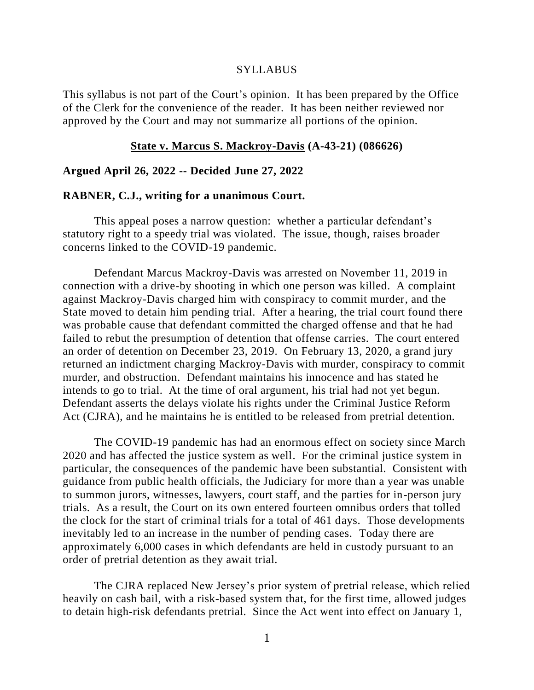#### **SYLLABUS**

This syllabus is not part of the Court's opinion. It has been prepared by the Office of the Clerk for the convenience of the reader. It has been neither reviewed nor approved by the Court and may not summarize all portions of the opinion.

### **State v. Marcus S. Mackroy-Davis (A-43-21) (086626)**

#### **Argued April 26, 2022 -- Decided June 27, 2022**

#### **RABNER, C.J., writing for a unanimous Court.**

This appeal poses a narrow question: whether a particular defendant's statutory right to a speedy trial was violated. The issue, though, raises broader concerns linked to the COVID-19 pandemic.

Defendant Marcus Mackroy-Davis was arrested on November 11, 2019 in connection with a drive-by shooting in which one person was killed. A complaint against Mackroy-Davis charged him with conspiracy to commit murder, and the State moved to detain him pending trial. After a hearing, the trial court found there was probable cause that defendant committed the charged offense and that he had failed to rebut the presumption of detention that offense carries. The court entered an order of detention on December 23, 2019. On February 13, 2020, a grand jury returned an indictment charging Mackroy-Davis with murder, conspiracy to commit murder, and obstruction. Defendant maintains his innocence and has stated he intends to go to trial. At the time of oral argument, his trial had not yet begun. Defendant asserts the delays violate his rights under the Criminal Justice Reform Act (CJRA), and he maintains he is entitled to be released from pretrial detention.

The COVID-19 pandemic has had an enormous effect on society since March 2020 and has affected the justice system as well. For the criminal justice system in particular, the consequences of the pandemic have been substantial. Consistent with guidance from public health officials, the Judiciary for more than a year was unable to summon jurors, witnesses, lawyers, court staff, and the parties for in-person jury trials. As a result, the Court on its own entered fourteen omnibus orders that tolled the clock for the start of criminal trials for a total of 461 days. Those developments inevitably led to an increase in the number of pending cases. Today there are approximately 6,000 cases in which defendants are held in custody pursuant to an order of pretrial detention as they await trial.

The CJRA replaced New Jersey's prior system of pretrial release, which relied heavily on cash bail, with a risk-based system that, for the first time, allowed judges to detain high-risk defendants pretrial. Since the Act went into effect on January 1,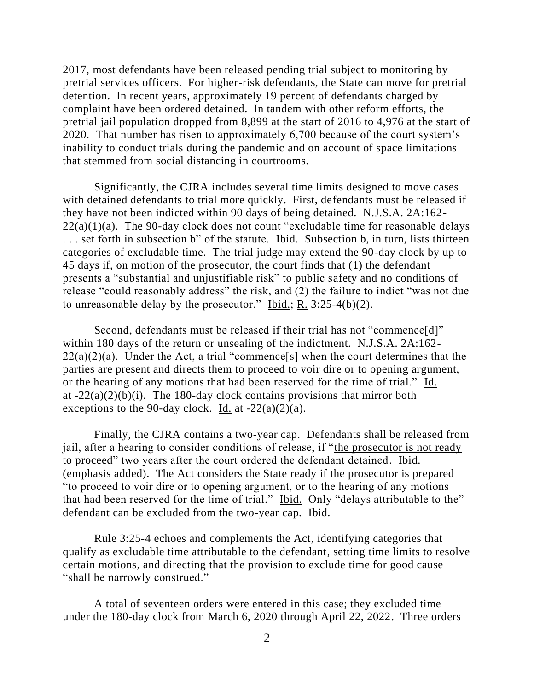2017, most defendants have been released pending trial subject to monitoring by pretrial services officers. For higher-risk defendants, the State can move for pretrial detention. In recent years, approximately 19 percent of defendants charged by complaint have been ordered detained. In tandem with other reform efforts, the pretrial jail population dropped from 8,899 at the start of 2016 to 4,976 at the start of 2020. That number has risen to approximately 6,700 because of the court system's inability to conduct trials during the pandemic and on account of space limitations that stemmed from social distancing in courtrooms.

Significantly, the CJRA includes several time limits designed to move cases with detained defendants to trial more quickly. First, defendants must be released if they have not been indicted within 90 days of being detained. N.J.S.A. 2A:162-  $22(a)(1)(a)$ . The 90-day clock does not count "excludable time for reasonable delays . . . set forth in subsection b" of the statute. Ibid. Subsection b, in turn, lists thirteen categories of excludable time. The trial judge may extend the 90-day clock by up to 45 days if, on motion of the prosecutor, the court finds that (1) the defendant presents a "substantial and unjustifiable risk" to public safety and no conditions of release "could reasonably address" the risk, and  $(2)$  the failure to indict "was not due to unreasonable delay by the prosecutor." Ibid.; R. 3:25-4(b)(2).

Second, defendants must be released if their trial has not "commence[d]" within 180 days of the return or unsealing of the indictment. N.J.S.A. 2A:162-  $22(a)(2)(a)$ . Under the Act, a trial "commence[s] when the court determines that the parties are present and directs them to proceed to voir dire or to opening argument, or the hearing of any motions that had been reserved for the time of trial." Id. at  $-22(a)(2)(b)(i)$ . The 180-day clock contains provisions that mirror both exceptions to the 90-day clock. Id. at  $-22(a)(2)(a)$ .

Finally, the CJRA contains a two-year cap. Defendants shall be released from jail, after a hearing to consider conditions of release, if "the prosecutor is not ready to proceed" two years after the court ordered the defendant detained. Ibid. (emphasis added). The Act considers the State ready if the prosecutor is prepared "to proceed to voir dire or to opening argument, or to the hearing of any motions that had been reserved for the time of trial." Ibid. Only "delays attributable to the" defendant can be excluded from the two-year cap. Ibid.

Rule 3:25-4 echoes and complements the Act, identifying categories that qualify as excludable time attributable to the defendant, setting time limits to resolve certain motions, and directing that the provision to exclude time for good cause "shall be narrowly construed."

A total of seventeen orders were entered in this case; they excluded time under the 180-day clock from March 6, 2020 through April 22, 2022. Three orders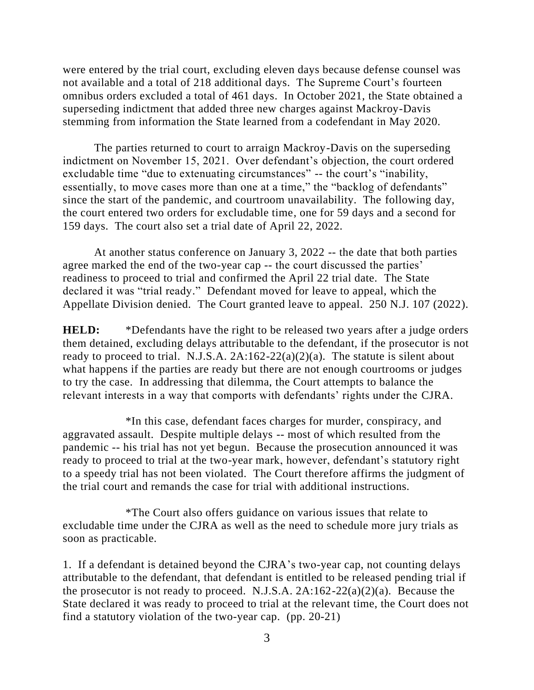were entered by the trial court, excluding eleven days because defense counsel was not available and a total of 218 additional days. The Supreme Court's fourteen omnibus orders excluded a total of 461 days. In October 2021, the State obtained a superseding indictment that added three new charges against Mackroy-Davis stemming from information the State learned from a codefendant in May 2020.

The parties returned to court to arraign Mackroy-Davis on the superseding indictment on November 15, 2021. Over defendant's objection, the court ordered excludable time "due to extenuating circumstances" -- the court's "inability, essentially, to move cases more than one at a time," the "backlog of defendants" since the start of the pandemic, and courtroom unavailability. The following day, the court entered two orders for excludable time, one for 59 days and a second for 159 days. The court also set a trial date of April 22, 2022.

At another status conference on January 3, 2022 -- the date that both parties agree marked the end of the two-year cap -- the court discussed the parties' readiness to proceed to trial and confirmed the April 22 trial date. The State declared it was "trial ready." Defendant moved for leave to appeal, which the Appellate Division denied. The Court granted leave to appeal. 250 N.J. 107 (2022).

**HELD:** \*Defendants have the right to be released two years after a judge orders them detained, excluding delays attributable to the defendant, if the prosecutor is not ready to proceed to trial. N.J.S.A.  $2A:162-22(a)(2)(a)$ . The statute is silent about what happens if the parties are ready but there are not enough courtrooms or judges to try the case. In addressing that dilemma, the Court attempts to balance the relevant interests in a way that comports with defendants' rights under the CJRA.

\*In this case, defendant faces charges for murder, conspiracy, and aggravated assault. Despite multiple delays -- most of which resulted from the pandemic -- his trial has not yet begun. Because the prosecution announced it was ready to proceed to trial at the two-year mark, however, defendant's statutory right to a speedy trial has not been violated. The Court therefore affirms the judgment of the trial court and remands the case for trial with additional instructions.

\*The Court also offers guidance on various issues that relate to excludable time under the CJRA as well as the need to schedule more jury trials as soon as practicable.

1. If a defendant is detained beyond the CJRA's two-year cap, not counting delays attributable to the defendant, that defendant is entitled to be released pending trial if the prosecutor is not ready to proceed. N.J.S.A.  $2A:162-22(a)(2)(a)$ . Because the State declared it was ready to proceed to trial at the relevant time, the Court does not find a statutory violation of the two-year cap. (pp. 20-21)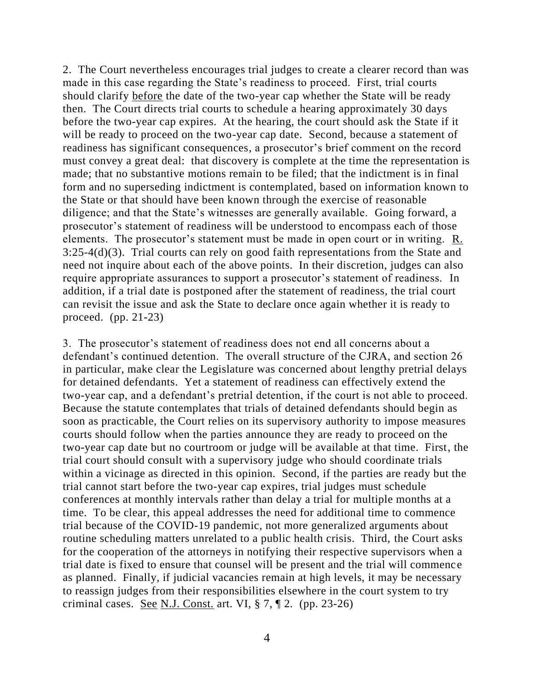2. The Court nevertheless encourages trial judges to create a clearer record than was made in this case regarding the State's readiness to proceed. First, trial courts should clarify before the date of the two-year cap whether the State will be ready then. The Court directs trial courts to schedule a hearing approximately 30 days before the two-year cap expires. At the hearing, the court should ask the State if it will be ready to proceed on the two-year cap date. Second, because a statement of readiness has significant consequences, a prosecutor's brief comment on the record must convey a great deal: that discovery is complete at the time the representation is made; that no substantive motions remain to be filed; that the indictment is in final form and no superseding indictment is contemplated, based on information known to the State or that should have been known through the exercise of reasonable diligence; and that the State's witnesses are generally available. Going forward, a prosecutor's statement of readiness will be understood to encompass each of those elements. The prosecutor's statement must be made in open court or in writing. R. 3:25-4(d)(3). Trial courts can rely on good faith representations from the State and need not inquire about each of the above points. In their discretion, judges can also require appropriate assurances to support a prosecutor's statement of readiness. In addition, if a trial date is postponed after the statement of readiness, the trial court can revisit the issue and ask the State to declare once again whether it is ready to proceed. (pp. 21-23)

3. The prosecutor's statement of readiness does not end all concerns about a defendant's continued detention. The overall structure of the CJRA, and section 26 in particular, make clear the Legislature was concerned about lengthy pretrial delays for detained defendants. Yet a statement of readiness can effectively extend the two-year cap, and a defendant's pretrial detention, if the court is not able to proceed. Because the statute contemplates that trials of detained defendants should begin as soon as practicable, the Court relies on its supervisory authority to impose measures courts should follow when the parties announce they are ready to proceed on the two-year cap date but no courtroom or judge will be available at that time. First, the trial court should consult with a supervisory judge who should coordinate trials within a vicinage as directed in this opinion. Second, if the parties are ready but the trial cannot start before the two-year cap expires, trial judges must schedule conferences at monthly intervals rather than delay a trial for multiple months at a time. To be clear, this appeal addresses the need for additional time to commence trial because of the COVID-19 pandemic, not more generalized arguments about routine scheduling matters unrelated to a public health crisis. Third, the Court asks for the cooperation of the attorneys in notifying their respective supervisors when a trial date is fixed to ensure that counsel will be present and the trial will commence as planned. Finally, if judicial vacancies remain at high levels, it may be necessary to reassign judges from their responsibilities elsewhere in the court system to try criminal cases. See N.J. Const. art. VI,  $\S 7$ ,  $\P 2$ . (pp. 23-26)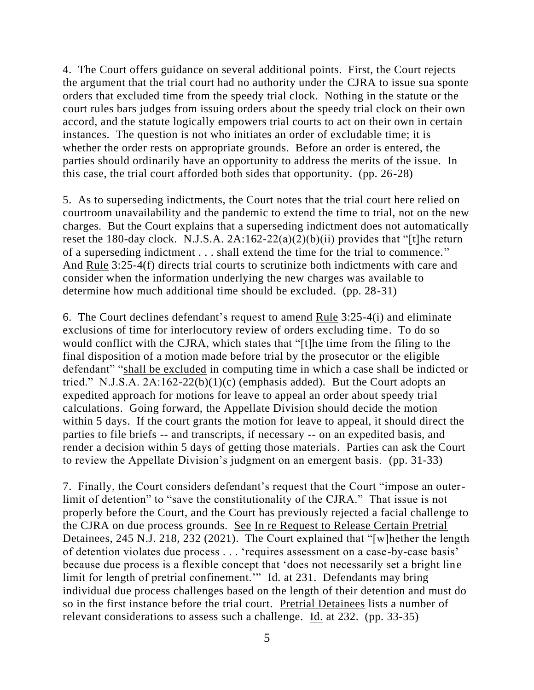4. The Court offers guidance on several additional points. First, the Court rejects the argument that the trial court had no authority under the CJRA to issue sua sponte orders that excluded time from the speedy trial clock. Nothing in the statute or the court rules bars judges from issuing orders about the speedy trial clock on their own accord, and the statute logically empowers trial courts to act on their own in certain instances. The question is not who initiates an order of excludable time; it is whether the order rests on appropriate grounds. Before an order is entered, the parties should ordinarily have an opportunity to address the merits of the issue. In this case, the trial court afforded both sides that opportunity. (pp. 26-28)

5. As to superseding indictments, the Court notes that the trial court here relied on courtroom unavailability and the pandemic to extend the time to trial, not on the new charges. But the Court explains that a superseding indictment does not automatically reset the 180-day clock. N.J.S.A.  $2A:162-22(a)(2)(b)(ii)$  provides that "[t]he return of a superseding indictment . . . shall extend the time for the trial to commence." And Rule 3:25-4(f) directs trial courts to scrutinize both indictments with care and consider when the information underlying the new charges was available to determine how much additional time should be excluded. (pp. 28-31)

6. The Court declines defendant's request to amend Rule 3:25-4(i) and eliminate exclusions of time for interlocutory review of orders excluding time. To do so would conflict with the CJRA, which states that "[t]he time from the filing to the final disposition of a motion made before trial by the prosecutor or the eligible defendant" "shall be excluded in computing time in which a case shall be indicted or tried." N.J.S.A.  $2A:162-22(b)(1)(c)$  (emphasis added). But the Court adopts an expedited approach for motions for leave to appeal an order about speedy trial calculations. Going forward, the Appellate Division should decide the motion within 5 days. If the court grants the motion for leave to appeal, it should direct the parties to file briefs -- and transcripts, if necessary -- on an expedited basis, and render a decision within 5 days of getting those materials. Parties can ask the Court to review the Appellate Division's judgment on an emergent basis. (pp. 31-33)

7. Finally, the Court considers defendant's request that the Court "impose an outerlimit of detention" to "save the constitutionality of the CJRA." That issue is not properly before the Court, and the Court has previously rejected a facial challenge to the CJRA on due process grounds. See In re Request to Release Certain Pretrial Detainees, 245 N.J. 218, 232 (2021). The Court explained that "[w]hether the length of detention violates due process . . . 'requires assessment on a case-by-case basis' because due process is a flexible concept that 'does not necessarily set a bright line limit for length of pretrial confinement." Id. at 231. Defendants may bring individual due process challenges based on the length of their detention and must do so in the first instance before the trial court. Pretrial Detainees lists a number of relevant considerations to assess such a challenge.  $\underline{Id}$  at 232. (pp. 33-35)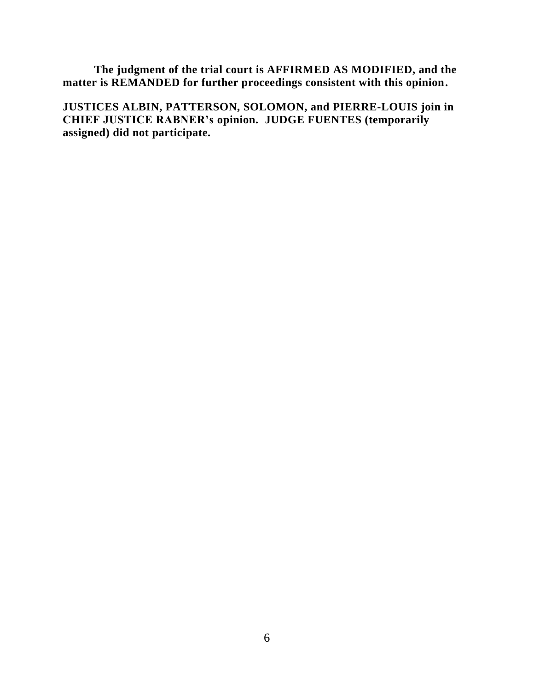**The judgment of the trial court is AFFIRMED AS MODIFIED, and the matter is REMANDED for further proceedings consistent with this opinion.**

**JUSTICES ALBIN, PATTERSON, SOLOMON, and PIERRE-LOUIS join in CHIEF JUSTICE RABNER's opinion. JUDGE FUENTES (temporarily assigned) did not participate.**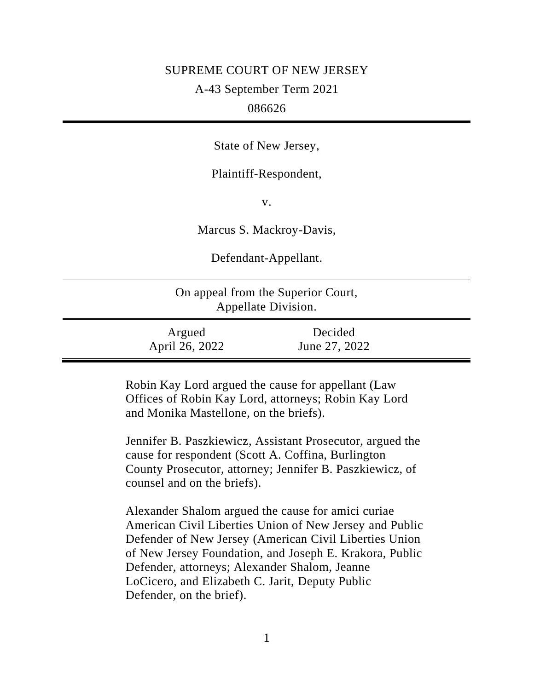# SUPREME COURT OF NEW JERSEY

A-43 September Term 2021

# 086626

State of New Jersey,

Plaintiff-Respondent,

v.

Marcus S. Mackroy-Davis,

Defendant-Appellant.

| On appeal from the Superior Court,<br>Appellate Division. |                          |  |
|-----------------------------------------------------------|--------------------------|--|
| Argued<br>April 26, 2022                                  | Decided<br>June 27, 2022 |  |

Robin Kay Lord argued the cause for appellant (Law Offices of Robin Kay Lord, attorneys; Robin Kay Lord and Monika Mastellone, on the briefs).

Jennifer B. Paszkiewicz, Assistant Prosecutor, argued the cause for respondent (Scott A. Coffina, Burlington County Prosecutor, attorney; Jennifer B. Paszkiewicz, of counsel and on the briefs).

Alexander Shalom argued the cause for amici curiae American Civil Liberties Union of New Jersey and Public Defender of New Jersey (American Civil Liberties Union of New Jersey Foundation, and Joseph E. Krakora, Public Defender, attorneys; Alexander Shalom, Jeanne LoCicero, and Elizabeth C. Jarit, Deputy Public Defender, on the brief).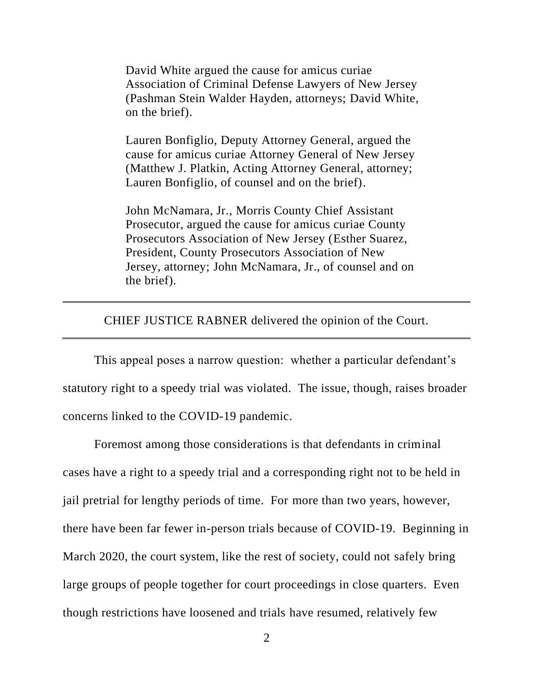David White argued the cause for amicus curiae Association of Criminal Defense Lawyers of New Jersey (Pashman Stein Walder Hayden, attorneys; David White, on the brief).

Lauren Bonfiglio, Deputy Attorney General, argued the cause for amicus curiae Attorney General of New Jersey (Matthew J. Platkin, Acting Attorney General, attorney; Lauren Bonfiglio, of counsel and on the brief).

John McNamara, Jr., Morris County Chief Assistant Prosecutor, argued the cause for amicus curiae County Prosecutors Association of New Jersey (Esther Suarez, President, County Prosecutors Association of New Jersey, attorney; John McNamara, Jr., of counsel and on the brief).

CHIEF JUSTICE RABNER delivered the opinion of the Court.

This appeal poses a narrow question: whether a particular defendant's statutory right to a speedy trial was violated. The issue, though, raises broader concerns linked to the COVID-19 pandemic.

Foremost among those considerations is that defendants in criminal cases have a right to a speedy trial and a corresponding right not to be held in jail pretrial for lengthy periods of time. For more than two years, however, there have been far fewer in-person trials because of COVID-19. Beginning in March 2020, the court system, like the rest of society, could not safely bring large groups of people together for court proceedings in close quarters. Even though restrictions have loosened and trials have resumed, relatively few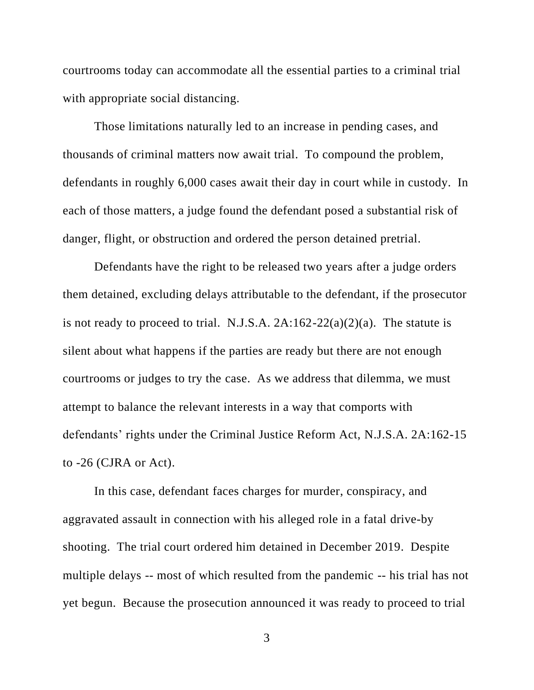courtrooms today can accommodate all the essential parties to a criminal trial with appropriate social distancing.

Those limitations naturally led to an increase in pending cases, and thousands of criminal matters now await trial. To compound the problem, defendants in roughly 6,000 cases await their day in court while in custody. In each of those matters, a judge found the defendant posed a substantial risk of danger, flight, or obstruction and ordered the person detained pretrial.

Defendants have the right to be released two years after a judge orders them detained, excluding delays attributable to the defendant, if the prosecutor is not ready to proceed to trial. N.J.S.A.  $2A:162-22(a)(2)(a)$ . The statute is silent about what happens if the parties are ready but there are not enough courtrooms or judges to try the case. As we address that dilemma, we must attempt to balance the relevant interests in a way that comports with defendants' rights under the Criminal Justice Reform Act, N.J.S.A. 2A:162-15 to -26 (CJRA or Act).

In this case, defendant faces charges for murder, conspiracy, and aggravated assault in connection with his alleged role in a fatal drive-by shooting. The trial court ordered him detained in December 2019. Despite multiple delays -- most of which resulted from the pandemic -- his trial has not yet begun. Because the prosecution announced it was ready to proceed to trial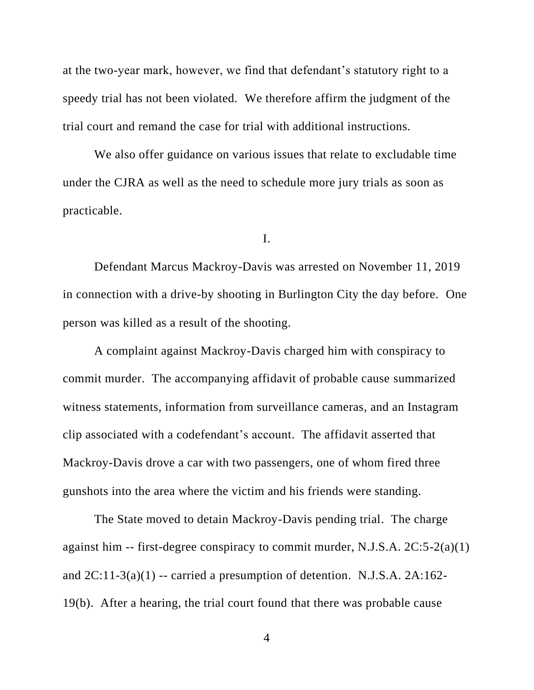at the two-year mark, however, we find that defendant's statutory right to a speedy trial has not been violated. We therefore affirm the judgment of the trial court and remand the case for trial with additional instructions.

We also offer guidance on various issues that relate to excludable time under the CJRA as well as the need to schedule more jury trials as soon as practicable.

I.

Defendant Marcus Mackroy-Davis was arrested on November 11, 2019 in connection with a drive-by shooting in Burlington City the day before. One person was killed as a result of the shooting.

A complaint against Mackroy-Davis charged him with conspiracy to commit murder. The accompanying affidavit of probable cause summarized witness statements, information from surveillance cameras, and an Instagram clip associated with a codefendant's account. The affidavit asserted that Mackroy-Davis drove a car with two passengers, one of whom fired three gunshots into the area where the victim and his friends were standing.

The State moved to detain Mackroy-Davis pending trial. The charge against him -- first-degree conspiracy to commit murder, N.J.S.A. 2C:5-2(a)(1) and  $2C:11-3(a)(1)$  -- carried a presumption of detention. N.J.S.A.  $2A:162-$ 19(b). After a hearing, the trial court found that there was probable cause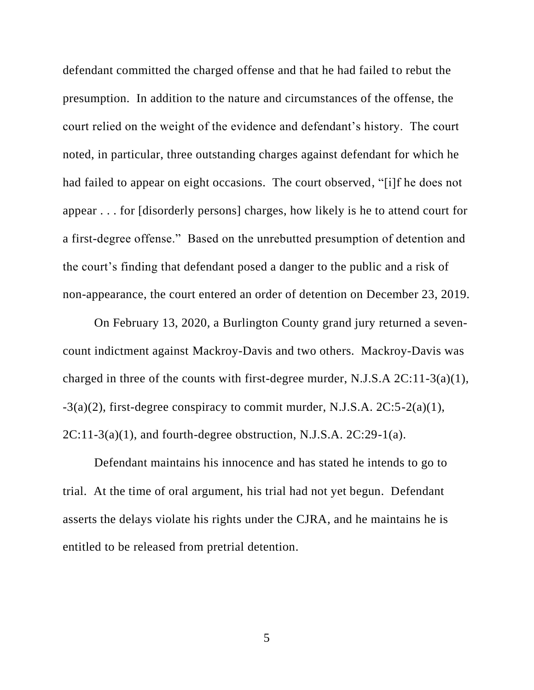defendant committed the charged offense and that he had failed to rebut the presumption. In addition to the nature and circumstances of the offense, the court relied on the weight of the evidence and defendant's history. The court noted, in particular, three outstanding charges against defendant for which he had failed to appear on eight occasions. The court observed, "[i]f he does not appear . . . for [disorderly persons] charges, how likely is he to attend court for a first-degree offense." Based on the unrebutted presumption of detention and the court's finding that defendant posed a danger to the public and a risk of non-appearance, the court entered an order of detention on December 23, 2019.

On February 13, 2020, a Burlington County grand jury returned a sevencount indictment against Mackroy-Davis and two others. Mackroy-Davis was charged in three of the counts with first-degree murder, N.J.S.A 2C:11-3(a)(1),  $-3(a)(2)$ , first-degree conspiracy to commit murder, N.J.S.A. 2C:5-2(a)(1),  $2C:11-3(a)(1)$ , and fourth-degree obstruction, N.J.S.A.  $2C:29-1(a)$ .

Defendant maintains his innocence and has stated he intends to go to trial. At the time of oral argument, his trial had not yet begun. Defendant asserts the delays violate his rights under the CJRA, and he maintains he is entitled to be released from pretrial detention.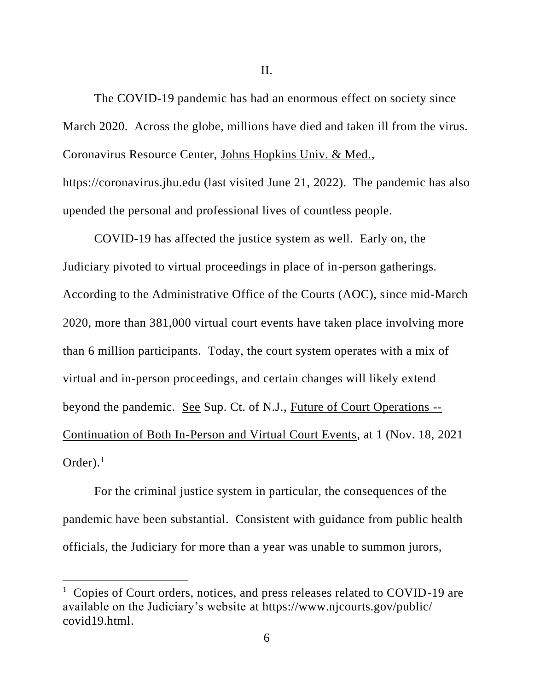The COVID-19 pandemic has had an enormous effect on society since March 2020. Across the globe, millions have died and taken ill from the virus. Coronavirus Resource Center, Johns Hopkins Univ. & Med., https://coronavirus.jhu.edu (last visited June 21, 2022). The pandemic has also upended the personal and professional lives of countless people.

COVID-19 has affected the justice system as well. Early on, the Judiciary pivoted to virtual proceedings in place of in-person gatherings. According to the Administrative Office of the Courts (AOC), since mid-March 2020, more than 381,000 virtual court events have taken place involving more than 6 million participants. Today, the court system operates with a mix of virtual and in-person proceedings, and certain changes will likely extend beyond the pandemic. See Sup. Ct. of N.J., Future of Court Operations -- Continuation of Both In-Person and Virtual Court Events, at 1 (Nov. 18, 2021 Order). $<sup>1</sup>$ </sup>

For the criminal justice system in particular, the consequences of the pandemic have been substantial. Consistent with guidance from public health officials, the Judiciary for more than a year was unable to summon jurors,

<sup>&</sup>lt;sup>1</sup> Copies of Court orders, notices, and press releases related to COVID-19 are available on the Judiciary's website at https://www.njcourts.gov/public/ covid19.html.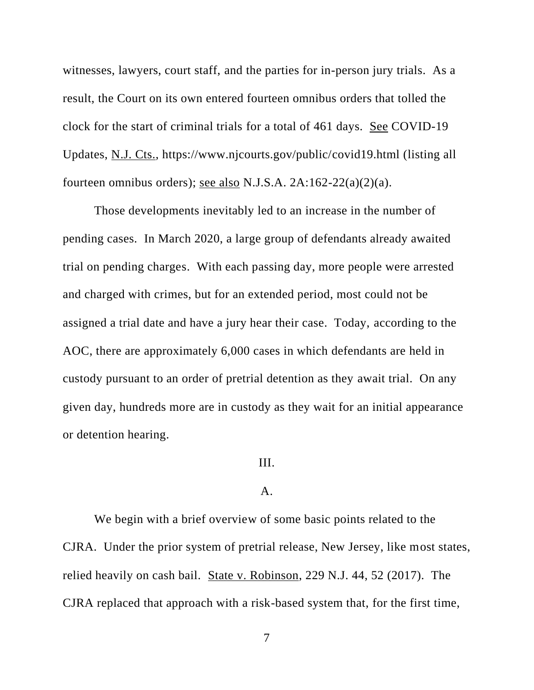witnesses, lawyers, court staff, and the parties for in-person jury trials. As a result, the Court on its own entered fourteen omnibus orders that tolled the clock for the start of criminal trials for a total of 461 days. See COVID-19 Updates, N.J. Cts., https://www.njcourts.gov/public/covid19.html (listing all fourteen omnibus orders); see also N.J.S.A. 2A:162-22(a)(2)(a).

Those developments inevitably led to an increase in the number of pending cases. In March 2020, a large group of defendants already awaited trial on pending charges. With each passing day, more people were arrested and charged with crimes, but for an extended period, most could not be assigned a trial date and have a jury hear their case. Today, according to the AOC, there are approximately 6,000 cases in which defendants are held in custody pursuant to an order of pretrial detention as they await trial. On any given day, hundreds more are in custody as they wait for an initial appearance or detention hearing.

# III.

# A.

We begin with a brief overview of some basic points related to the CJRA. Under the prior system of pretrial release, New Jersey, like most states, relied heavily on cash bail. State v. Robinson, 229 N.J. 44, 52 (2017). The CJRA replaced that approach with a risk-based system that, for the first time,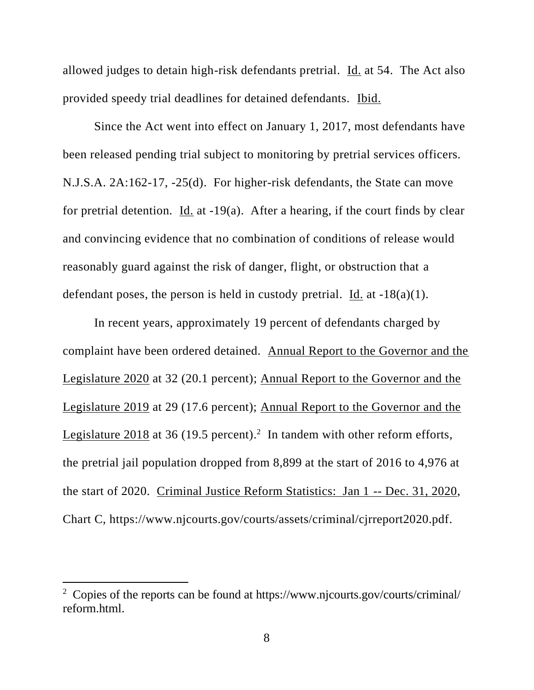allowed judges to detain high-risk defendants pretrial. Id. at 54. The Act also provided speedy trial deadlines for detained defendants. Ibid.

Since the Act went into effect on January 1, 2017, most defendants have been released pending trial subject to monitoring by pretrial services officers. N.J.S.A. 2A:162-17, -25(d). For higher-risk defendants, the State can move for pretrial detention. Id. at -19(a). After a hearing, if the court finds by clear and convincing evidence that no combination of conditions of release would reasonably guard against the risk of danger, flight, or obstruction that a defendant poses, the person is held in custody pretrial. Id. at  $-18(a)(1)$ .

In recent years, approximately 19 percent of defendants charged by complaint have been ordered detained. Annual Report to the Governor and the Legislature 2020 at 32 (20.1 percent); Annual Report to the Governor and the Legislature 2019 at 29 (17.6 percent); Annual Report to the Governor and the Legislature  $2018$  at 36 (19.5 percent).<sup>2</sup> In tandem with other reform efforts, the pretrial jail population dropped from 8,899 at the start of 2016 to 4,976 at the start of 2020. Criminal Justice Reform Statistics: Jan 1 -- Dec. 31, 2020, Chart C, https://www.njcourts.gov/courts/assets/criminal/cjrreport2020.pdf.

<sup>2</sup> Copies of the reports can be found at https://www.njcourts.gov/courts/criminal/ reform.html.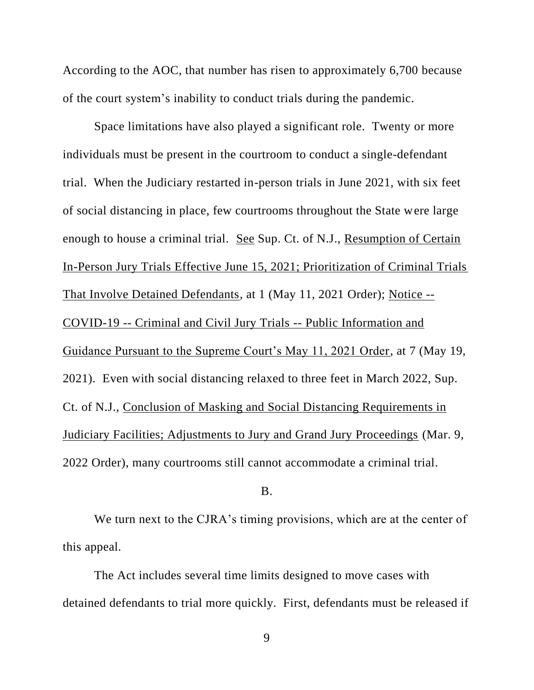According to the AOC, that number has risen to approximately 6,700 because of the court system's inability to conduct trials during the pandemic.

Space limitations have also played a significant role. Twenty or more individuals must be present in the courtroom to conduct a single-defendant trial. When the Judiciary restarted in-person trials in June 2021, with six feet of social distancing in place, few courtrooms throughout the State were large enough to house a criminal trial. See Sup. Ct. of N.J., Resumption of Certain In-Person Jury Trials Effective June 15, 2021; Prioritization of Criminal Trials That Involve Detained Defendants, at 1 (May 11, 2021 Order); Notice -- COVID-19 -- Criminal and Civil Jury Trials -- Public Information and Guidance Pursuant to the Supreme Court's May 11, 2021 Order, at 7 (May 19, 2021). Even with social distancing relaxed to three feet in March 2022, Sup. Ct. of N.J., Conclusion of Masking and Social Distancing Requirements in Judiciary Facilities; Adjustments to Jury and Grand Jury Proceedings (Mar. 9, 2022 Order), many courtrooms still cannot accommodate a criminal trial.

# B.

We turn next to the CJRA's timing provisions, which are at the center of this appeal.

The Act includes several time limits designed to move cases with detained defendants to trial more quickly. First, defendants must be released if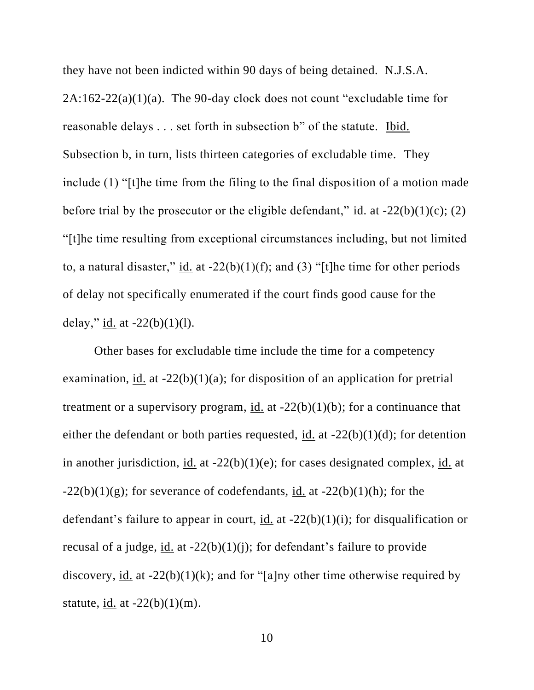they have not been indicted within 90 days of being detained. N.J.S.A.  $2A:162-22(a)(1)(a)$ . The 90-day clock does not count "excludable time for reasonable delays . . . set forth in subsection b" of the statute. Ibid. Subsection b, in turn, lists thirteen categories of excludable time. They include (1) "[t]he time from the filing to the final disposition of a motion made before trial by the prosecutor or the eligible defendant," id. at  $-22(b)(1)(c)$ ; (2) "[t]he time resulting from exceptional circumstances including, but not limited to, a natural disaster," id. at  $-22(b)(1)(f)$ ; and (3) "[t]he time for other periods of delay not specifically enumerated if the court finds good cause for the delay," id. at  $-22(b)(1)(l)$ .

Other bases for excludable time include the time for a competency examination, id. at  $-22(b)(1)(a)$ ; for disposition of an application for pretrial treatment or a supervisory program, id. at  $-22(b)(1)(b)$ ; for a continuance that either the defendant or both parties requested,  $\underline{\text{id}}$  at -22(b)(1)(d); for detention in another jurisdiction, id. at  $-22(b)(1)(e)$ ; for cases designated complex, id. at  $-22(b)(1)(g)$ ; for severance of codefendants, id. at  $-22(b)(1)(h)$ ; for the defendant's failure to appear in court, id. at -22(b)(1)(i); for disqualification or recusal of a judge, id. at  $-22(b)(1)(i)$ ; for defendant's failure to provide discovery, id. at  $-22(b)(1)(k)$ ; and for "[a]ny other time otherwise required by statute, id. at  $-22(b)(1)(m)$ .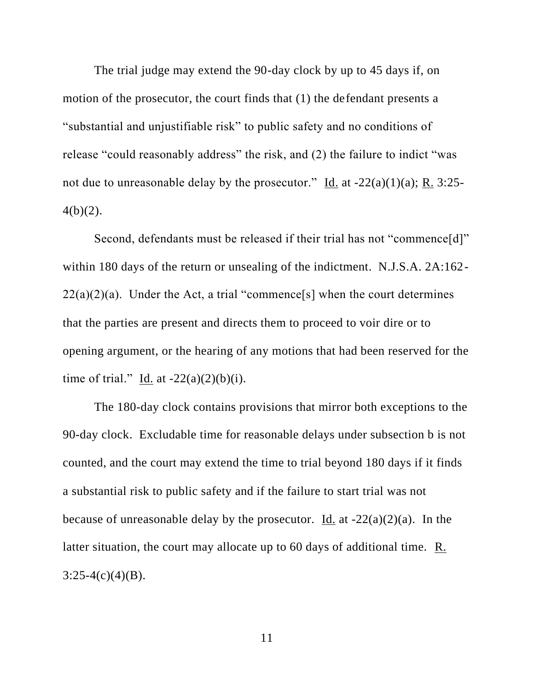The trial judge may extend the 90-day clock by up to 45 days if, on motion of the prosecutor, the court finds that (1) the defendant presents a "substantial and unjustifiable risk" to public safety and no conditions of release "could reasonably address" the risk, and (2) the failure to indict "was not due to unreasonable delay by the prosecutor." Id. at  $-22(a)(1)(a)$ ; R. 3:25- $4(b)(2)$ .

Second, defendants must be released if their trial has not "commence[d]" within 180 days of the return or unsealing of the indictment. N.J.S.A. 2A:162-  $22(a)(2)(a)$ . Under the Act, a trial "commence[s] when the court determines that the parties are present and directs them to proceed to voir dire or to opening argument, or the hearing of any motions that had been reserved for the time of trial." Id. at  $-22(a)(2)(b)(i)$ .

The 180-day clock contains provisions that mirror both exceptions to the 90-day clock. Excludable time for reasonable delays under subsection b is not counted, and the court may extend the time to trial beyond 180 days if it finds a substantial risk to public safety and if the failure to start trial was not because of unreasonable delay by the prosecutor. Id. at  $-22(a)(2)(a)$ . In the latter situation, the court may allocate up to 60 days of additional time. R.  $3:25-4(c)(4)(B)$ .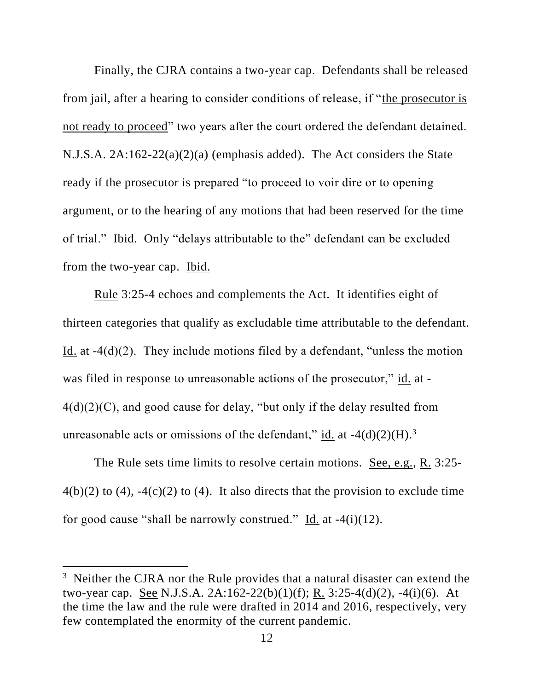Finally, the CJRA contains a two-year cap. Defendants shall be released from jail, after a hearing to consider conditions of release, if "the prosecutor is not ready to proceed" two years after the court ordered the defendant detained. N.J.S.A. 2A:162-22(a)(2)(a) (emphasis added). The Act considers the State ready if the prosecutor is prepared "to proceed to voir dire or to opening argument, or to the hearing of any motions that had been reserved for the time of trial." Ibid. Only "delays attributable to the" defendant can be excluded from the two-year cap. Ibid.

Rule 3:25-4 echoes and complements the Act. It identifies eight of thirteen categories that qualify as excludable time attributable to the defendant. Id. at -4(d)(2). They include motions filed by a defendant, "unless the motion was filed in response to unreasonable actions of the prosecutor," id. at -4(d)(2)(C), and good cause for delay, "but only if the delay resulted from unreasonable acts or omissions of the defendant," id. at  $-4(d)(2)(H)$ .<sup>3</sup>

The Rule sets time limits to resolve certain motions. See, e.g., R. 3:25-  $4(b)(2)$  to  $(4)$ ,  $-4(c)(2)$  to  $(4)$ . It also directs that the provision to exclude time for good cause "shall be narrowly construed." Id. at  $-4(i)(12)$ .

<sup>&</sup>lt;sup>3</sup> Neither the CJRA nor the Rule provides that a natural disaster can extend the two-year cap. See N.J.S.A. 2A:162-22(b)(1)(f); R. 3:25-4(d)(2), -4(i)(6). At the time the law and the rule were drafted in 2014 and 2016, respectively, very few contemplated the enormity of the current pandemic.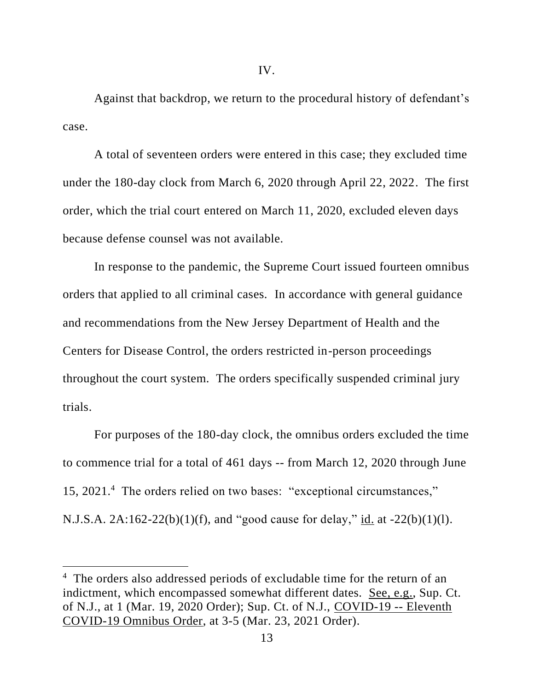Against that backdrop, we return to the procedural history of defendant's case.

A total of seventeen orders were entered in this case; they excluded time under the 180-day clock from March 6, 2020 through April 22, 2022. The first order, which the trial court entered on March 11, 2020, excluded eleven days because defense counsel was not available.

In response to the pandemic, the Supreme Court issued fourteen omnibus orders that applied to all criminal cases. In accordance with general guidance and recommendations from the New Jersey Department of Health and the Centers for Disease Control, the orders restricted in-person proceedings throughout the court system. The orders specifically suspended criminal jury trials.

For purposes of the 180-day clock, the omnibus orders excluded the time to commence trial for a total of 461 days -- from March 12, 2020 through June 15, 2021.<sup>4</sup> The orders relied on two bases: "exceptional circumstances," N.J.S.A. 2A:162-22(b)(1)(f), and "good cause for delay," id. at -22(b)(1)(l).

<sup>&</sup>lt;sup>4</sup> The orders also addressed periods of excludable time for the return of an indictment, which encompassed somewhat different dates. See, e.g., Sup. Ct. of N.J., at 1 (Mar. 19, 2020 Order); Sup. Ct. of N.J., COVID-19 -- Eleventh COVID-19 Omnibus Order, at 3-5 (Mar. 23, 2021 Order).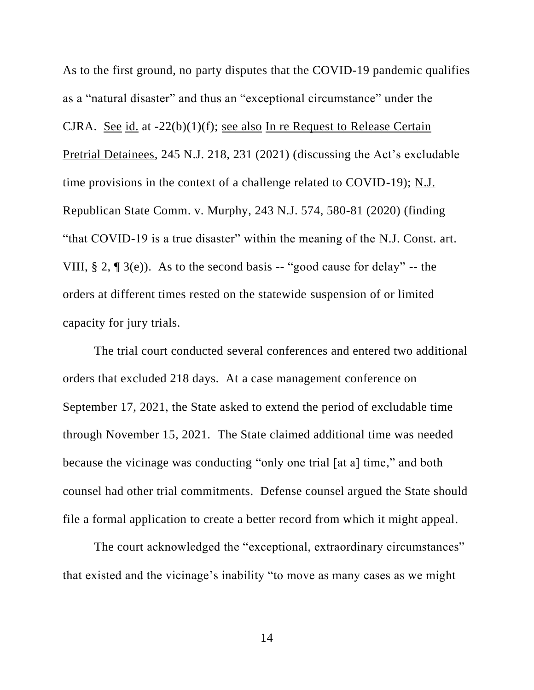As to the first ground, no party disputes that the COVID-19 pandemic qualifies as a "natural disaster" and thus an "exceptional circumstance" under the CJRA. See id. at -22(b)(1)(f); see also In re Request to Release Certain Pretrial Detainees, 245 N.J. 218, 231 (2021) (discussing the Act's excludable time provisions in the context of a challenge related to COVID-19); N.J. Republican State Comm. v. Murphy, 243 N.J. 574, 580-81 (2020) (finding "that COVID-19 is a true disaster" within the meaning of the N.J. Const. art. VIII,  $\S 2$ ,  $\P 3(e)$ ). As to the second basis -- "good cause for delay" -- the orders at different times rested on the statewide suspension of or limited capacity for jury trials.

The trial court conducted several conferences and entered two additional orders that excluded 218 days. At a case management conference on September 17, 2021, the State asked to extend the period of excludable time through November 15, 2021. The State claimed additional time was needed because the vicinage was conducting "only one trial [at a] time," and both counsel had other trial commitments. Defense counsel argued the State should file a formal application to create a better record from which it might appeal.

The court acknowledged the "exceptional, extraordinary circumstances" that existed and the vicinage's inability "to move as many cases as we might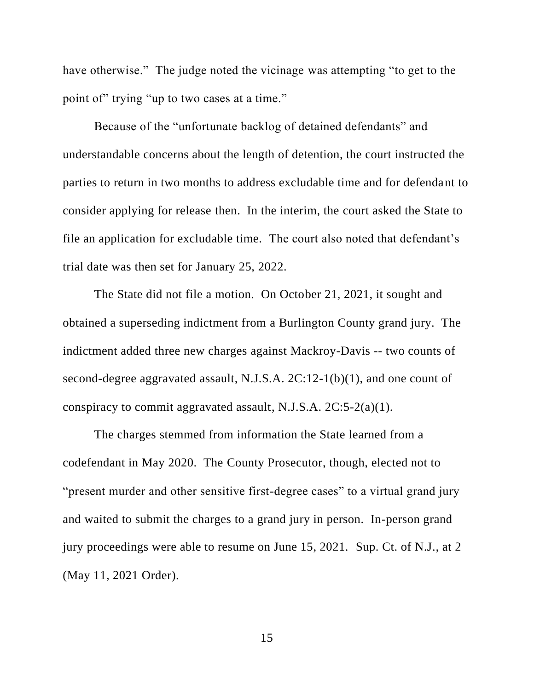have otherwise." The judge noted the vicinage was attempting "to get to the point of trying "up to two cases at a time."

Because of the "unfortunate backlog of detained defendants" and understandable concerns about the length of detention, the court instructed the parties to return in two months to address excludable time and for defendant to consider applying for release then. In the interim, the court asked the State to file an application for excludable time. The court also noted that defendant's trial date was then set for January 25, 2022.

The State did not file a motion. On October 21, 2021, it sought and obtained a superseding indictment from a Burlington County grand jury. The indictment added three new charges against Mackroy-Davis -- two counts of second-degree aggravated assault, N.J.S.A. 2C:12-1(b)(1), and one count of conspiracy to commit aggravated assault, N.J.S.A. 2C:5-2(a)(1).

The charges stemmed from information the State learned from a codefendant in May 2020. The County Prosecutor, though, elected not to "present murder and other sensitive first-degree cases" to a virtual grand jury and waited to submit the charges to a grand jury in person. In-person grand jury proceedings were able to resume on June 15, 2021. Sup. Ct. of N.J., at 2 (May 11, 2021 Order).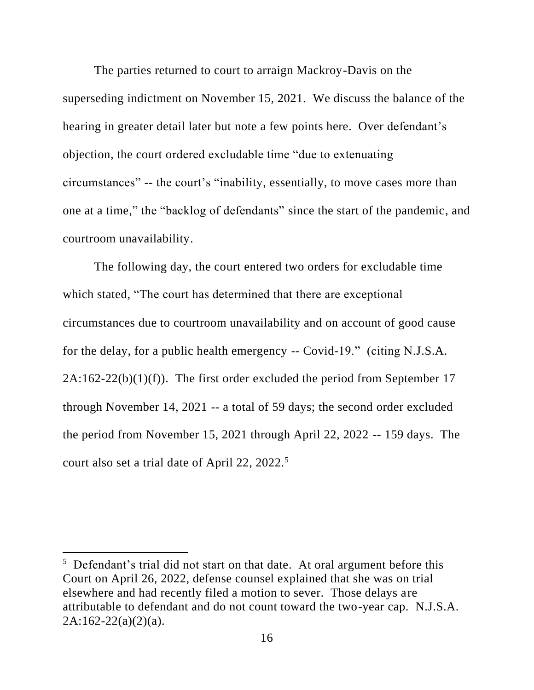The parties returned to court to arraign Mackroy-Davis on the superseding indictment on November 15, 2021. We discuss the balance of the hearing in greater detail later but note a few points here. Over defendant's objection, the court ordered excludable time "due to extenuating circumstances" -- the court's "inability, essentially, to move cases more than one at a time," the "backlog of defendants" since the start of the pandemic, and courtroom unavailability.

The following day, the court entered two orders for excludable time which stated, "The court has determined that there are exceptional circumstances due to courtroom unavailability and on account of good cause for the delay, for a public health emergency -- Covid-19." (citing N.J.S.A.  $2A:162-22(b)(1)(f)$ . The first order excluded the period from September 17 through November 14, 2021 -- a total of 59 days; the second order excluded the period from November 15, 2021 through April 22, 2022 -- 159 days. The court also set a trial date of April 22, 2022.<sup>5</sup>

<sup>&</sup>lt;sup>5</sup> Defendant's trial did not start on that date. At oral argument before this Court on April 26, 2022, defense counsel explained that she was on trial elsewhere and had recently filed a motion to sever. Those delays are attributable to defendant and do not count toward the two-year cap. N.J.S.A.  $2A:162-22(a)(2)(a)$ .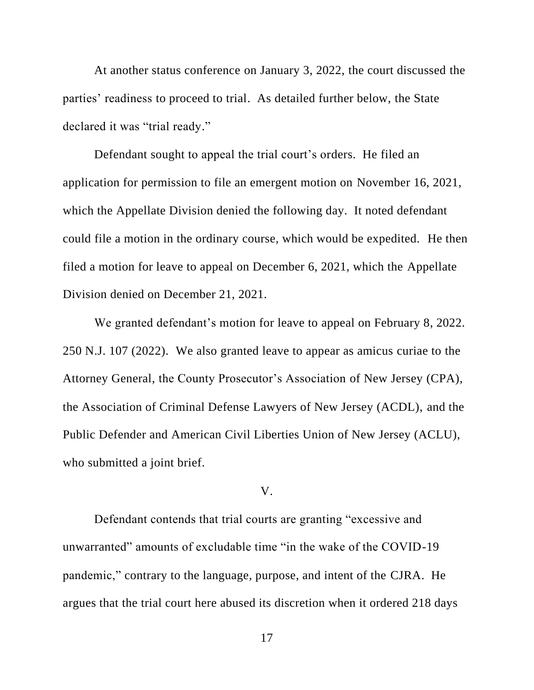At another status conference on January 3, 2022, the court discussed the parties' readiness to proceed to trial. As detailed further below, the State declared it was "trial ready."

Defendant sought to appeal the trial court's orders. He filed an application for permission to file an emergent motion on November 16, 2021, which the Appellate Division denied the following day. It noted defendant could file a motion in the ordinary course, which would be expedited. He then filed a motion for leave to appeal on December 6, 2021, which the Appellate Division denied on December 21, 2021.

We granted defendant's motion for leave to appeal on February 8, 2022. 250 N.J. 107 (2022). We also granted leave to appear as amicus curiae to the Attorney General, the County Prosecutor's Association of New Jersey (CPA), the Association of Criminal Defense Lawyers of New Jersey (ACDL), and the Public Defender and American Civil Liberties Union of New Jersey (ACLU), who submitted a joint brief.

## V.

Defendant contends that trial courts are granting "excessive and unwarranted" amounts of excludable time "in the wake of the COVID-19 pandemic," contrary to the language, purpose, and intent of the CJRA. He argues that the trial court here abused its discretion when it ordered 218 days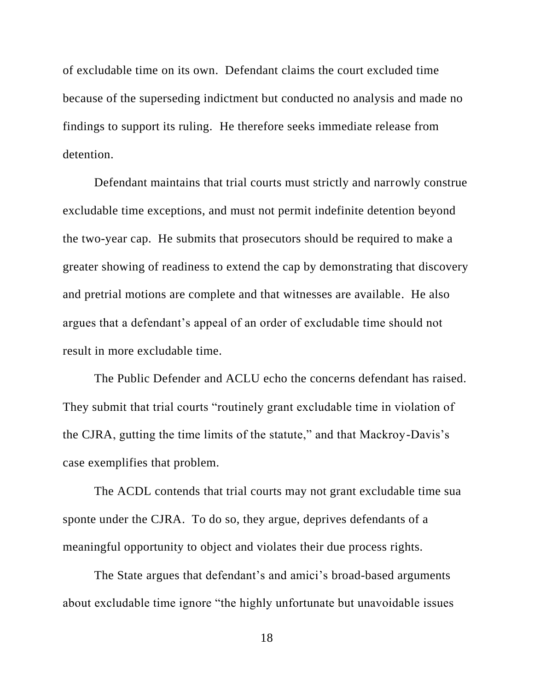of excludable time on its own. Defendant claims the court excluded time because of the superseding indictment but conducted no analysis and made no findings to support its ruling. He therefore seeks immediate release from detention.

Defendant maintains that trial courts must strictly and narrowly construe excludable time exceptions, and must not permit indefinite detention beyond the two-year cap. He submits that prosecutors should be required to make a greater showing of readiness to extend the cap by demonstrating that discovery and pretrial motions are complete and that witnesses are available. He also argues that a defendant's appeal of an order of excludable time should not result in more excludable time.

The Public Defender and ACLU echo the concerns defendant has raised. They submit that trial courts "routinely grant excludable time in violation of the CJRA, gutting the time limits of the statute," and that Mackroy-Davis's case exemplifies that problem.

The ACDL contends that trial courts may not grant excludable time sua sponte under the CJRA. To do so, they argue, deprives defendants of a meaningful opportunity to object and violates their due process rights.

The State argues that defendant's and amici's broad-based arguments about excludable time ignore "the highly unfortunate but unavoidable issues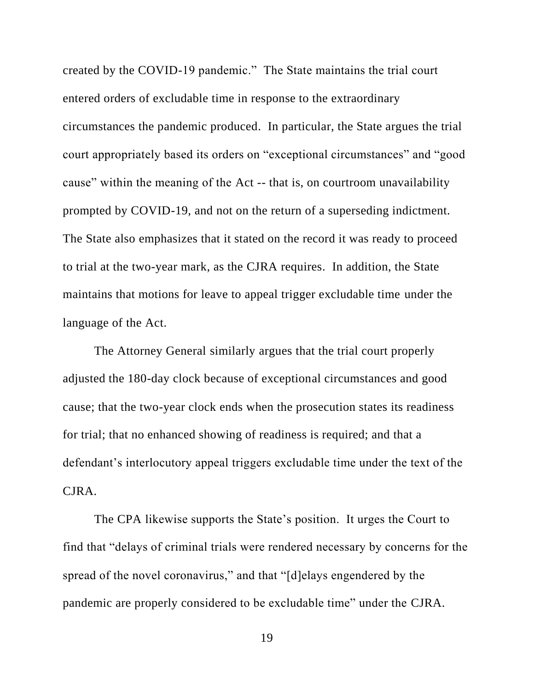created by the COVID-19 pandemic." The State maintains the trial court entered orders of excludable time in response to the extraordinary circumstances the pandemic produced. In particular, the State argues the trial court appropriately based its orders on "exceptional circumstances" and "good cause" within the meaning of the Act -- that is, on courtroom unavailability prompted by COVID-19, and not on the return of a superseding indictment. The State also emphasizes that it stated on the record it was ready to proceed to trial at the two-year mark, as the CJRA requires. In addition, the State maintains that motions for leave to appeal trigger excludable time under the language of the Act.

The Attorney General similarly argues that the trial court properly adjusted the 180-day clock because of exceptional circumstances and good cause; that the two-year clock ends when the prosecution states its readiness for trial; that no enhanced showing of readiness is required; and that a defendant's interlocutory appeal triggers excludable time under the text of the CJRA.

The CPA likewise supports the State's position. It urges the Court to find that "delays of criminal trials were rendered necessary by concerns for the spread of the novel coronavirus," and that "[d]elays engendered by the pandemic are properly considered to be excludable time" under the CJRA.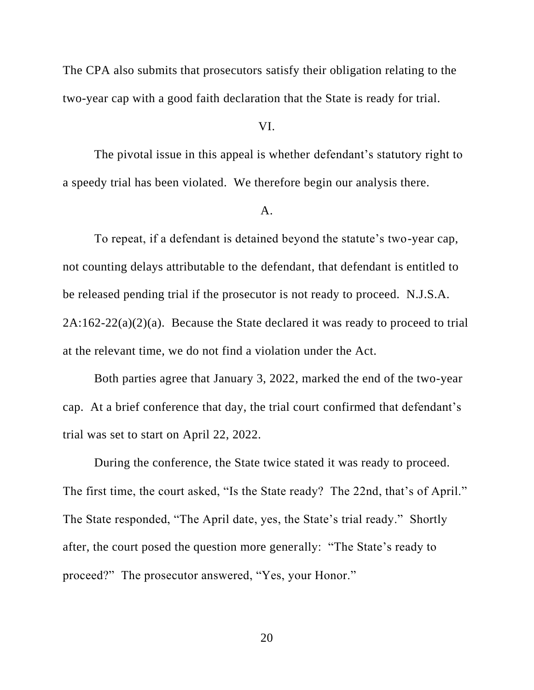The CPA also submits that prosecutors satisfy their obligation relating to the two-year cap with a good faith declaration that the State is ready for trial.

# VI.

The pivotal issue in this appeal is whether defendant's statutory right to a speedy trial has been violated. We therefore begin our analysis there.

## A.

To repeat, if a defendant is detained beyond the statute's two-year cap, not counting delays attributable to the defendant, that defendant is entitled to be released pending trial if the prosecutor is not ready to proceed. N.J.S.A.  $2A:162-22(a)(2)(a)$ . Because the State declared it was ready to proceed to trial at the relevant time, we do not find a violation under the Act.

Both parties agree that January 3, 2022, marked the end of the two-year cap. At a brief conference that day, the trial court confirmed that defendant's trial was set to start on April 22, 2022.

During the conference, the State twice stated it was ready to proceed. The first time, the court asked, "Is the State ready? The 22nd, that's of April." The State responded, "The April date, yes, the State's trial ready." Shortly after, the court posed the question more generally: "The State's ready to proceed?" The prosecutor answered, "Yes, your Honor."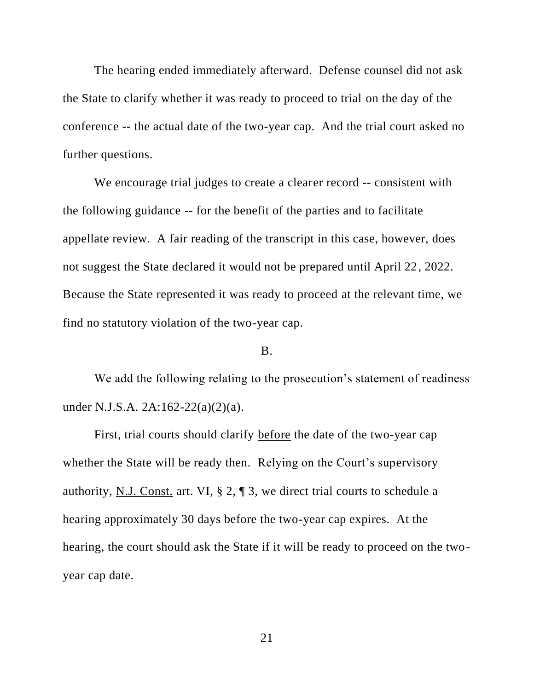The hearing ended immediately afterward. Defense counsel did not ask the State to clarify whether it was ready to proceed to trial on the day of the conference -- the actual date of the two-year cap. And the trial court asked no further questions.

We encourage trial judges to create a clearer record -- consistent with the following guidance -- for the benefit of the parties and to facilitate appellate review. A fair reading of the transcript in this case, however, does not suggest the State declared it would not be prepared until April 22, 2022. Because the State represented it was ready to proceed at the relevant time, we find no statutory violation of the two-year cap.

# B.

We add the following relating to the prosecution's statement of readiness under N.J.S.A. 2A:162-22(a)(2)(a).

First, trial courts should clarify before the date of the two-year cap whether the State will be ready then. Relying on the Court's supervisory authority, <u>N.J. Const.</u> art. VI,  $\S 2$ ,  $\P 3$ , we direct trial courts to schedule a hearing approximately 30 days before the two-year cap expires. At the hearing, the court should ask the State if it will be ready to proceed on the twoyear cap date.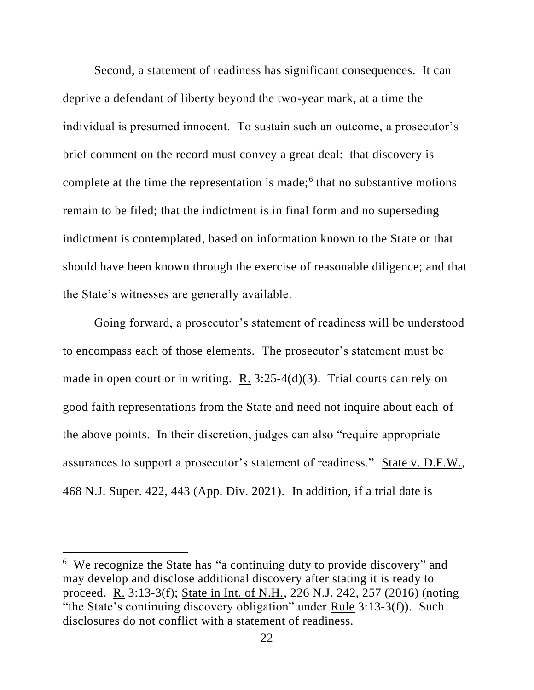Second, a statement of readiness has significant consequences. It can deprive a defendant of liberty beyond the two-year mark, at a time the individual is presumed innocent. To sustain such an outcome, a prosecutor's brief comment on the record must convey a great deal: that discovery is complete at the time the representation is made;<sup>6</sup> that no substantive motions remain to be filed; that the indictment is in final form and no superseding indictment is contemplated, based on information known to the State or that should have been known through the exercise of reasonable diligence; and that the State's witnesses are generally available.

Going forward, a prosecutor's statement of readiness will be understood to encompass each of those elements. The prosecutor's statement must be made in open court or in writing. R. 3:25-4(d)(3). Trial courts can rely on good faith representations from the State and need not inquire about each of the above points. In their discretion, judges can also "require appropriate assurances to support a prosecutor's statement of readiness." State v. D.F.W., 468 N.J. Super. 422, 443 (App. Div. 2021). In addition, if a trial date is

<sup>&</sup>lt;sup>6</sup> We recognize the State has "a continuing duty to provide discovery" and may develop and disclose additional discovery after stating it is ready to proceed. R. 3:13-3(f); State in Int. of N.H., 226 N.J. 242, 257 (2016) (noting "the State's continuing discovery obligation" under Rule  $3:13-3(f)$ ). Such disclosures do not conflict with a statement of readiness.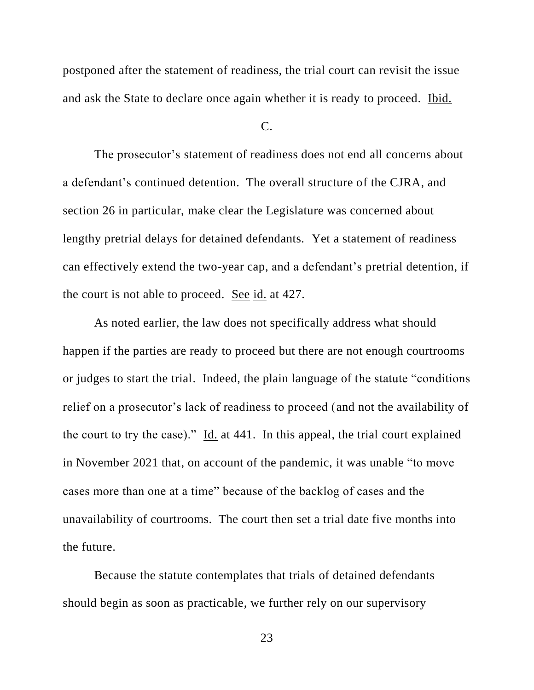postponed after the statement of readiness, the trial court can revisit the issue and ask the State to declare once again whether it is ready to proceed. Ibid.

#### $C_{\cdot}$

The prosecutor's statement of readiness does not end all concerns about a defendant's continued detention. The overall structure of the CJRA, and section 26 in particular, make clear the Legislature was concerned about lengthy pretrial delays for detained defendants. Yet a statement of readiness can effectively extend the two-year cap, and a defendant's pretrial detention, if the court is not able to proceed. <u>See id.</u> at 427.

As noted earlier, the law does not specifically address what should happen if the parties are ready to proceed but there are not enough courtrooms or judges to start the trial. Indeed, the plain language of the statute "conditions relief on a prosecutor's lack of readiness to proceed (and not the availability of the court to try the case)."  $\underline{Id}$  at 441. In this appeal, the trial court explained in November 2021 that, on account of the pandemic, it was unable "to move cases more than one at a time" because of the backlog of cases and the unavailability of courtrooms. The court then set a trial date five months into the future.

Because the statute contemplates that trials of detained defendants should begin as soon as practicable, we further rely on our supervisory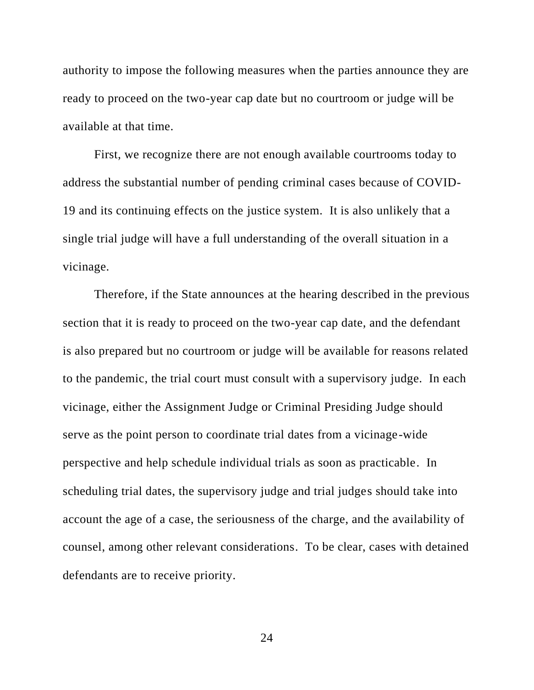authority to impose the following measures when the parties announce they are ready to proceed on the two-year cap date but no courtroom or judge will be available at that time.

First, we recognize there are not enough available courtrooms today to address the substantial number of pending criminal cases because of COVID-19 and its continuing effects on the justice system. It is also unlikely that a single trial judge will have a full understanding of the overall situation in a vicinage.

Therefore, if the State announces at the hearing described in the previous section that it is ready to proceed on the two-year cap date, and the defendant is also prepared but no courtroom or judge will be available for reasons related to the pandemic, the trial court must consult with a supervisory judge. In each vicinage, either the Assignment Judge or Criminal Presiding Judge should serve as the point person to coordinate trial dates from a vicinage-wide perspective and help schedule individual trials as soon as practicable. In scheduling trial dates, the supervisory judge and trial judges should take into account the age of a case, the seriousness of the charge, and the availability of counsel, among other relevant considerations. To be clear, cases with detained defendants are to receive priority.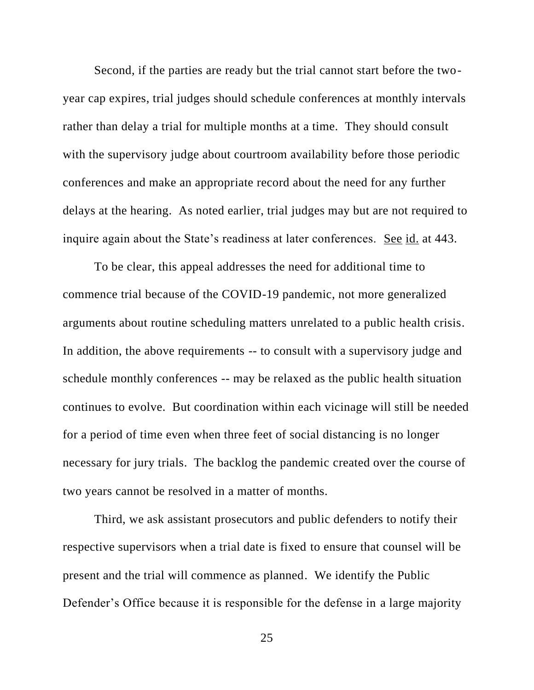Second, if the parties are ready but the trial cannot start before the twoyear cap expires, trial judges should schedule conferences at monthly intervals rather than delay a trial for multiple months at a time. They should consult with the supervisory judge about courtroom availability before those periodic conferences and make an appropriate record about the need for any further delays at the hearing. As noted earlier, trial judges may but are not required to inquire again about the State's readiness at later conferences. See id. at 443.

To be clear, this appeal addresses the need for additional time to commence trial because of the COVID-19 pandemic, not more generalized arguments about routine scheduling matters unrelated to a public health crisis. In addition, the above requirements -- to consult with a supervisory judge and schedule monthly conferences -- may be relaxed as the public health situation continues to evolve. But coordination within each vicinage will still be needed for a period of time even when three feet of social distancing is no longer necessary for jury trials. The backlog the pandemic created over the course of two years cannot be resolved in a matter of months.

Third, we ask assistant prosecutors and public defenders to notify their respective supervisors when a trial date is fixed to ensure that counsel will be present and the trial will commence as planned. We identify the Public Defender's Office because it is responsible for the defense in a large majority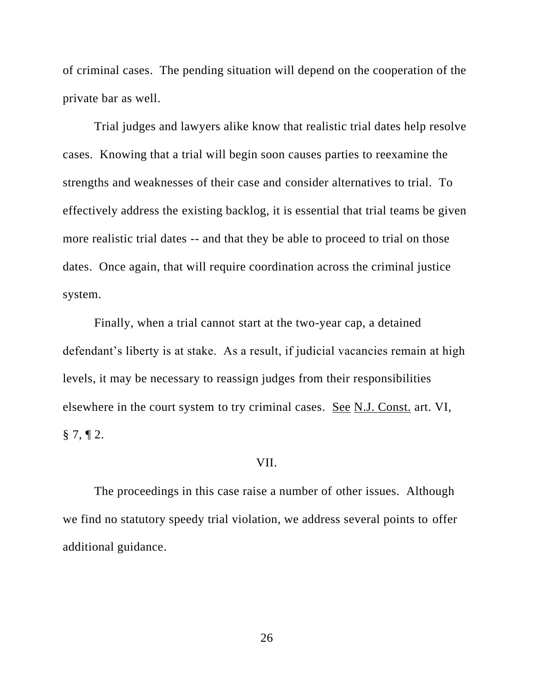of criminal cases. The pending situation will depend on the cooperation of the private bar as well.

Trial judges and lawyers alike know that realistic trial dates help resolve cases. Knowing that a trial will begin soon causes parties to reexamine the strengths and weaknesses of their case and consider alternatives to trial. To effectively address the existing backlog, it is essential that trial teams be given more realistic trial dates -- and that they be able to proceed to trial on those dates. Once again, that will require coordination across the criminal justice system.

Finally, when a trial cannot start at the two-year cap, a detained defendant's liberty is at stake. As a result, if judicial vacancies remain at high levels, it may be necessary to reassign judges from their responsibilities elsewhere in the court system to try criminal cases. See N.J. Const. art. VI,  $\S$  7, ¶ 2.

#### VII.

The proceedings in this case raise a number of other issues. Although we find no statutory speedy trial violation, we address several points to offer additional guidance.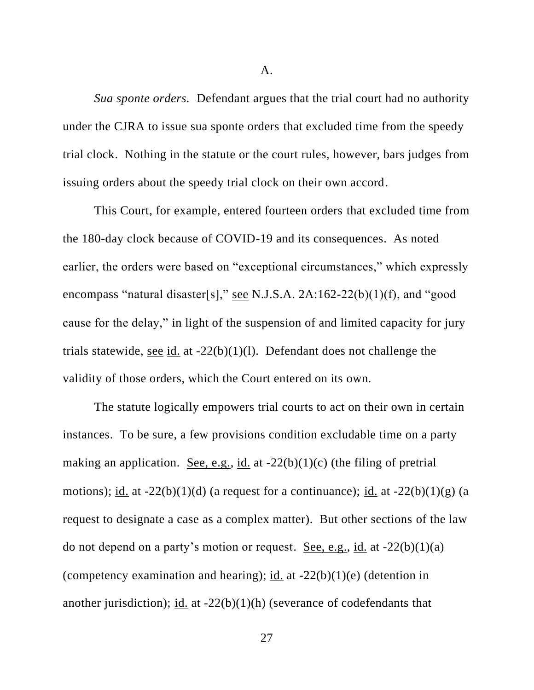A.

*Sua sponte orders.* Defendant argues that the trial court had no authority under the CJRA to issue sua sponte orders that excluded time from the speedy trial clock. Nothing in the statute or the court rules, however, bars judges from issuing orders about the speedy trial clock on their own accord.

This Court, for example, entered fourteen orders that excluded time from the 180-day clock because of COVID-19 and its consequences. As noted earlier, the orders were based on "exceptional circumstances," which expressly encompass "natural disaster[s]," see N.J.S.A. 2A:162-22(b)(1)(f), and "good cause for the delay," in light of the suspension of and limited capacity for jury trials statewide, see id. at  $-22(b)(1)(l)$ . Defendant does not challenge the validity of those orders, which the Court entered on its own.

The statute logically empowers trial courts to act on their own in certain instances. To be sure, a few provisions condition excludable time on a party making an application. <u>See, e.g., id.</u> at  $-22(b)(1)(c)$  (the filing of pretrial motions); id. at  $-22(b)(1)(d)$  (a request for a continuance); id. at  $-22(b)(1)(g)$  (a request to designate a case as a complex matter). But other sections of the law do not depend on a party's motion or request. See, e.g., id. at  $-22(b)(1)(a)$ (competency examination and hearing); id. at  $-22(b)(1)(e)$  (detention in another jurisdiction); id. at  $-22(b)(1)(h)$  (severance of codefendants that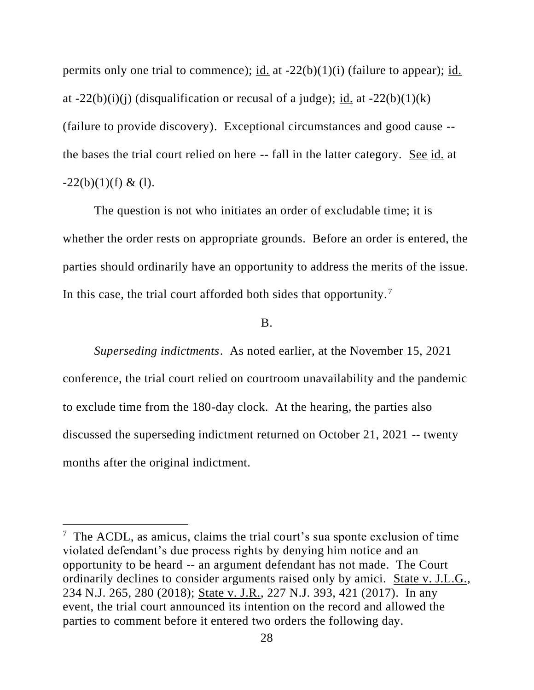permits only one trial to commence); id. at -22(b)(1)(i) (failure to appear); id. at  $-22(b)(i)(j)$  (disqualification or recusal of a judge); id. at  $-22(b)(1)(k)$ (failure to provide discovery). Exceptional circumstances and good cause - the bases the trial court relied on here -- fall in the latter category. See id. at  $-22(b)(1)(f) \& (1).$ 

The question is not who initiates an order of excludable time; it is whether the order rests on appropriate grounds. Before an order is entered, the parties should ordinarily have an opportunity to address the merits of the issue. In this case, the trial court afforded both sides that opportunity. <sup>7</sup>

# B.

*Superseding indictments*. As noted earlier, at the November 15, 2021 conference, the trial court relied on courtroom unavailability and the pandemic to exclude time from the 180-day clock. At the hearing, the parties also discussed the superseding indictment returned on October 21, 2021 -- twenty months after the original indictment.

<sup>&</sup>lt;sup>7</sup> The ACDL, as amicus, claims the trial court's sua sponte exclusion of time violated defendant's due process rights by denying him notice and an opportunity to be heard -- an argument defendant has not made. The Court ordinarily declines to consider arguments raised only by amici. State v. J.L.G., 234 N.J. 265, 280 (2018); State v. J.R., 227 N.J. 393, 421 (2017). In any event, the trial court announced its intention on the record and allowed the parties to comment before it entered two orders the following day.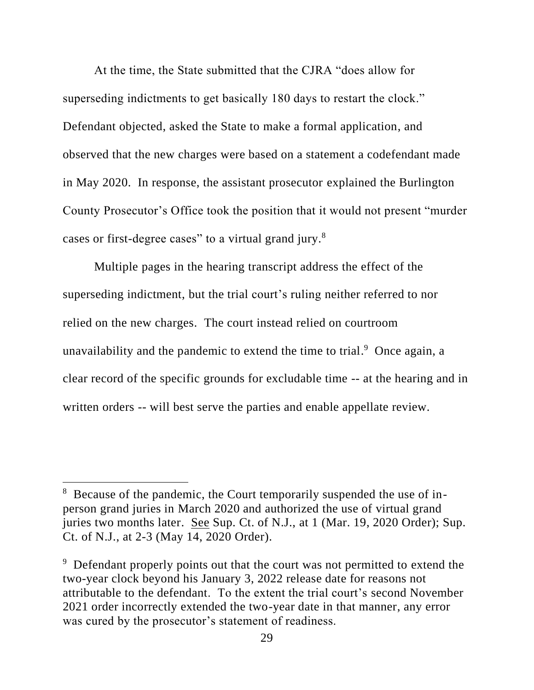At the time, the State submitted that the CJRA "does allow for superseding indictments to get basically 180 days to restart the clock." Defendant objected, asked the State to make a formal application, and observed that the new charges were based on a statement a codefendant made in May 2020. In response, the assistant prosecutor explained the Burlington County Prosecutor's Office took the position that it would not present "murder cases or first-degree cases" to a virtual grand jury.<sup>8</sup>

Multiple pages in the hearing transcript address the effect of the superseding indictment, but the trial court's ruling neither referred to nor relied on the new charges. The court instead relied on courtroom unavailability and the pandemic to extend the time to trial.  $9$  Once again, a clear record of the specific grounds for excludable time -- at the hearing and in written orders -- will best serve the parties and enable appellate review.

<sup>&</sup>lt;sup>8</sup> Because of the pandemic, the Court temporarily suspended the use of inperson grand juries in March 2020 and authorized the use of virtual grand juries two months later. See Sup. Ct. of N.J., at 1 (Mar. 19, 2020 Order); Sup. Ct. of N.J., at 2-3 (May 14, 2020 Order).

<sup>&</sup>lt;sup>9</sup> Defendant properly points out that the court was not permitted to extend the two-year clock beyond his January 3, 2022 release date for reasons not attributable to the defendant. To the extent the trial court's second November 2021 order incorrectly extended the two-year date in that manner, any error was cured by the prosecutor's statement of readiness.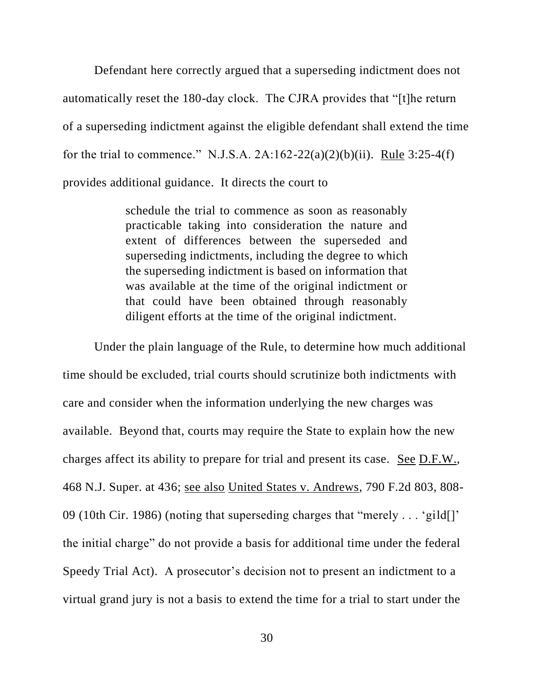Defendant here correctly argued that a superseding indictment does not automatically reset the 180-day clock. The CJRA provides that "[t]he return of a superseding indictment against the eligible defendant shall extend the time for the trial to commence." N.J.S.A.  $2A:162-22(a)(2)(b)(ii)$ . Rule 3:25-4(f) provides additional guidance. It directs the court to

> schedule the trial to commence as soon as reasonably practicable taking into consideration the nature and extent of differences between the superseded and superseding indictments, including the degree to which the superseding indictment is based on information that was available at the time of the original indictment or that could have been obtained through reasonably diligent efforts at the time of the original indictment.

Under the plain language of the Rule, to determine how much additional time should be excluded, trial courts should scrutinize both indictments with care and consider when the information underlying the new charges was available. Beyond that, courts may require the State to explain how the new charges affect its ability to prepare for trial and present its case. See D.F.W., 468 N.J. Super. at 436; see also United States v. Andrews, 790 F.2d 803, 808- 09 (10th Cir. 1986) (noting that superseding charges that "merely . . . 'gild[]' the initial charge" do not provide a basis for additional time under the federal Speedy Trial Act). A prosecutor's decision not to present an indictment to a virtual grand jury is not a basis to extend the time for a trial to start under the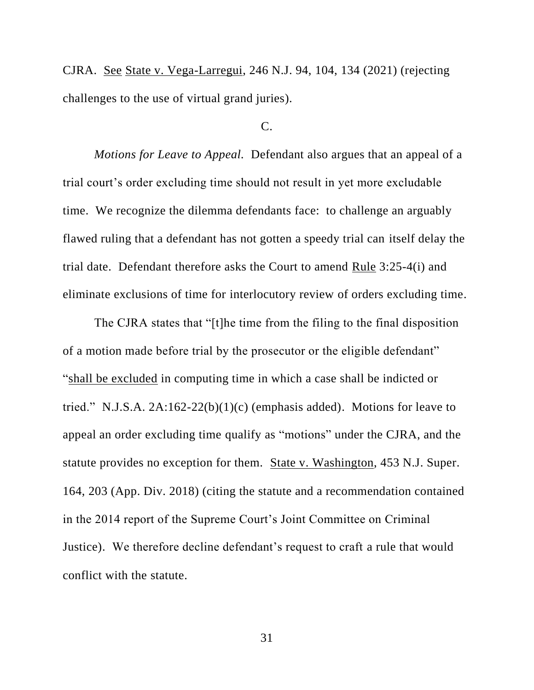CJRA. See State v. Vega-Larregui, 246 N.J. 94, 104, 134 (2021) (rejecting challenges to the use of virtual grand juries).

### $C_{\cdot}$

*Motions for Leave to Appeal.* Defendant also argues that an appeal of a trial court's order excluding time should not result in yet more excludable time. We recognize the dilemma defendants face: to challenge an arguably flawed ruling that a defendant has not gotten a speedy trial can itself delay the trial date. Defendant therefore asks the Court to amend Rule 3:25-4(i) and eliminate exclusions of time for interlocutory review of orders excluding time.

The CJRA states that "[t]he time from the filing to the final disposition of a motion made before trial by the prosecutor or the eligible defendant" "shall be excluded in computing time in which a case shall be indicted or tried." N.J.S.A. 2A:162-22(b)(1)(c) (emphasis added). Motions for leave to appeal an order excluding time qualify as "motions" under the CJRA, and the statute provides no exception for them. State v. Washington, 453 N.J. Super. 164, 203 (App. Div. 2018) (citing the statute and a recommendation contained in the 2014 report of the Supreme Court's Joint Committee on Criminal Justice). We therefore decline defendant's request to craft a rule that would conflict with the statute.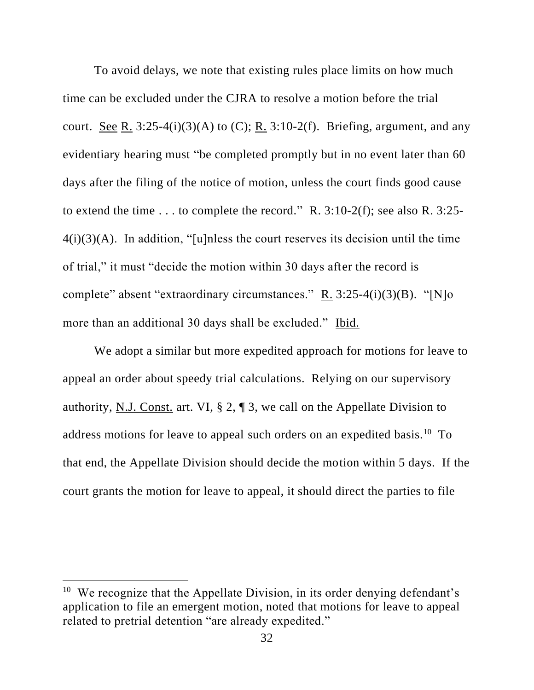To avoid delays, we note that existing rules place limits on how much time can be excluded under the CJRA to resolve a motion before the trial court. See R.  $3:25-4(i)(3)(A)$  to (C); R.  $3:10-2(f)$ . Briefing, argument, and any evidentiary hearing must "be completed promptly but in no event later than 60 days after the filing of the notice of motion, unless the court finds good cause to extend the time . . . to complete the record." R.  $3:10-2(f)$ ; see also R.  $3:25 4(i)(3)(A)$ . In addition, "[u]nless the court reserves its decision until the time of trial," it must "decide the motion within 30 days after the record is complete" absent "extraordinary circumstances." R. 3:25-4(i)(3)(B). "[N]o more than an additional 30 days shall be excluded." Ibid.

We adopt a similar but more expedited approach for motions for leave to appeal an order about speedy trial calculations. Relying on our supervisory authority, N.J. Const. art. VI, § 2, ¶ 3, we call on the Appellate Division to address motions for leave to appeal such orders on an expedited basis.<sup>10</sup> To that end, the Appellate Division should decide the motion within 5 days. If the court grants the motion for leave to appeal, it should direct the parties to file

<sup>&</sup>lt;sup>10</sup> We recognize that the Appellate Division, in its order denying defendant's application to file an emergent motion, noted that motions for leave to appeal related to pretrial detention "are already expedited."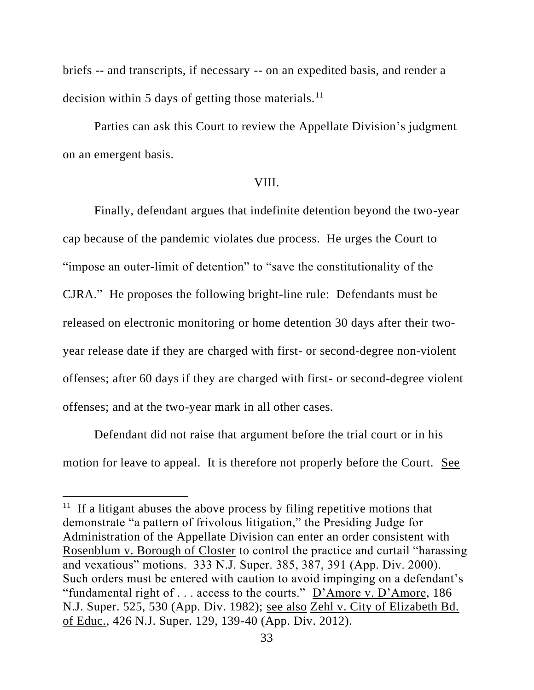briefs -- and transcripts, if necessary -- on an expedited basis, and render a decision within 5 days of getting those materials.<sup>11</sup>

Parties can ask this Court to review the Appellate Division's judgment on an emergent basis.

# VIII.

Finally, defendant argues that indefinite detention beyond the two-year cap because of the pandemic violates due process. He urges the Court to "impose an outer-limit of detention" to "save the constitutionality of the CJRA." He proposes the following bright-line rule: Defendants must be released on electronic monitoring or home detention 30 days after their twoyear release date if they are charged with first- or second-degree non-violent offenses; after 60 days if they are charged with first- or second-degree violent offenses; and at the two-year mark in all other cases.

Defendant did not raise that argument before the trial court or in his motion for leave to appeal. It is therefore not properly before the Court. See

<sup>&</sup>lt;sup>11</sup> If a litigant abuses the above process by filing repetitive motions that demonstrate "a pattern of frivolous litigation," the Presiding Judge for Administration of the Appellate Division can enter an order consistent with Rosenblum v. Borough of Closter to control the practice and curtail "harassing and vexatious" motions. 333 N.J. Super. 385, 387, 391 (App. Div. 2000). Such orders must be entered with caution to avoid impinging on a defendant's "fundamental right of . . . access to the courts."  $D'$ Amore v. D'Amore, 186 N.J. Super. 525, 530 (App. Div. 1982); see also Zehl v. City of Elizabeth Bd. of Educ., 426 N.J. Super. 129, 139-40 (App. Div. 2012).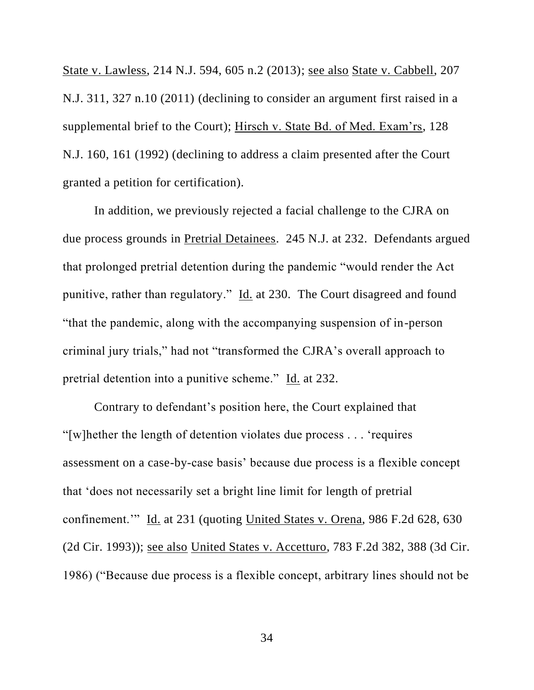State v. Lawless, 214 N.J. 594, 605 n.2 (2013); see also State v. Cabbell, 207 N.J. 311, 327 n.10 (2011) (declining to consider an argument first raised in a supplemental brief to the Court); Hirsch v. State Bd. of Med. Exam'rs, 128 N.J. 160, 161 (1992) (declining to address a claim presented after the Court granted a petition for certification).

In addition, we previously rejected a facial challenge to the CJRA on due process grounds in Pretrial Detainees. 245 N.J. at 232. Defendants argued that prolonged pretrial detention during the pandemic "would render the Act punitive, rather than regulatory." Id. at 230. The Court disagreed and found "that the pandemic, along with the accompanying suspension of in-person criminal jury trials," had not "transformed the CJRA's overall approach to pretrial detention into a punitive scheme." Id. at 232.

Contrary to defendant's position here, the Court explained that "[w]hether the length of detention violates due process . . . 'requires assessment on a case-by-case basis' because due process is a flexible concept that 'does not necessarily set a bright line limit for length of pretrial confinement.'" Id. at 231 (quoting United States v. Orena, 986 F.2d 628, 630 (2d Cir. 1993)); see also United States v. Accetturo, 783 F.2d 382, 388 (3d Cir. 1986) ("Because due process is a flexible concept, arbitrary lines should not be